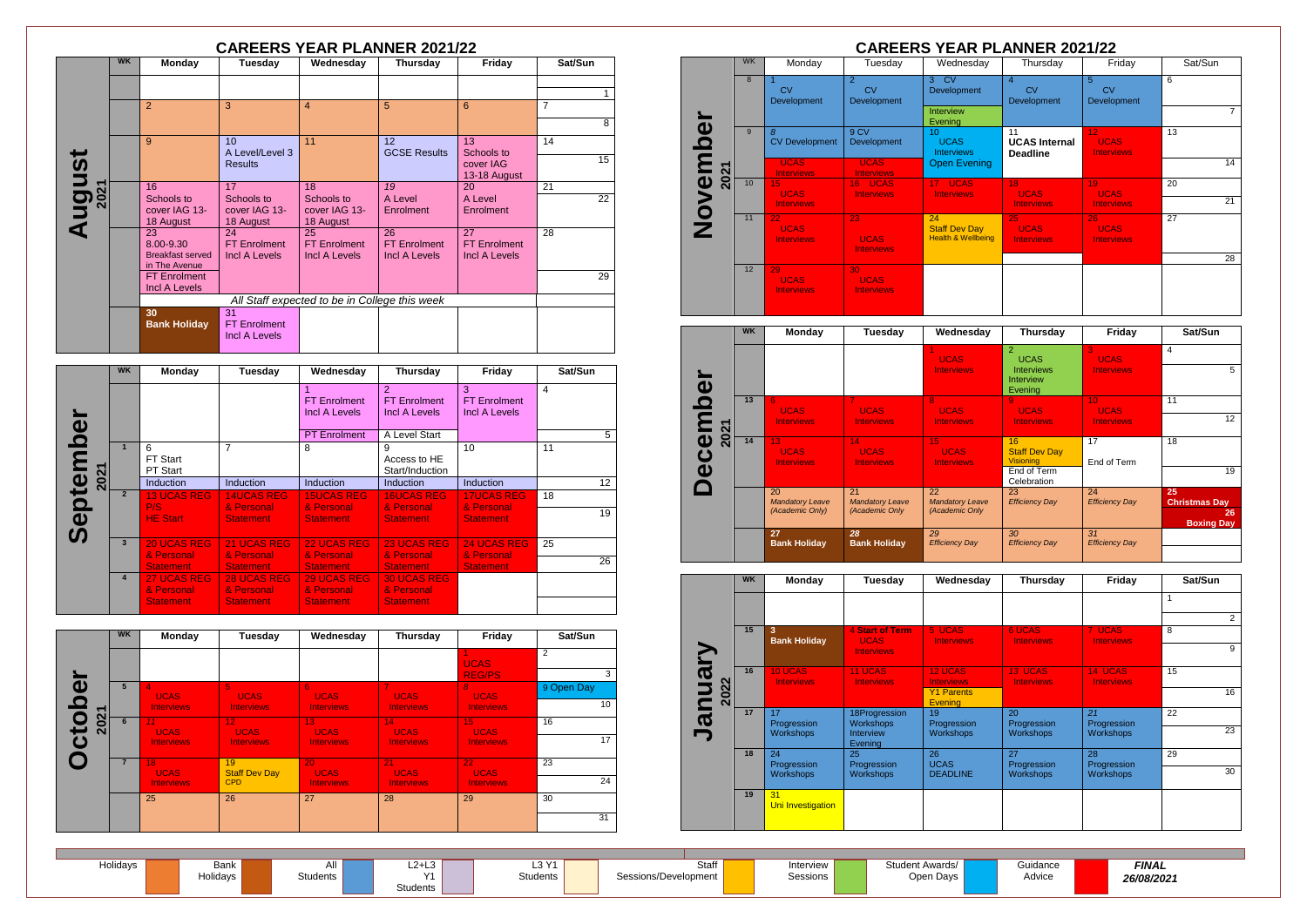| Holidays | Bank     | וור      | $\cdot$ $\cdot$ $\cdot$<br>∟∠+∟ວ | 2 <sup>M</sup><br>∟ບ | Staff                | Interview | Student Awards |
|----------|----------|----------|----------------------------------|----------------------|----------------------|-----------|----------------|
|          | Holidavs | students | $\lambda$                        | Students             | Sessions/Development | Sessions  | Open Davs      |
|          |          |          | <b>Students</b>                  |                      |                      |           |                |

Guidance Advice



|                      |           |                                             |                      |                                               | <b>CAREERS YEAR PLANNER 2021/22</b> |                           |                 |
|----------------------|-----------|---------------------------------------------|----------------------|-----------------------------------------------|-------------------------------------|---------------------------|-----------------|
|                      | <b>WK</b> | <b>Monday</b>                               | <b>Tuesday</b>       | Wednesday                                     | <b>Thursday</b>                     | Friday                    | Sat/Sun         |
|                      |           |                                             |                      |                                               |                                     |                           |                 |
|                      |           |                                             |                      |                                               |                                     |                           | $\mathbf{1}$    |
|                      |           | $\overline{2}$                              | 3                    | $\overline{4}$                                | 5                                   | 6                         | $\overline{7}$  |
|                      |           |                                             |                      |                                               |                                     |                           | 8               |
|                      |           | 9                                           | 10 <sup>1</sup>      | 11                                            | 12                                  | 13                        | 14              |
|                      |           |                                             | A Level/Level 3      |                                               | <b>GCSE Results</b>                 | Schools to                | 15              |
|                      |           |                                             | <b>Results</b>       |                                               |                                     | cover IAG<br>13-18 August |                 |
| <b>August</b>        |           | 16                                          | 17                   | 18                                            | 19                                  | 20                        | 21              |
|                      |           | Schools to                                  | Schools to           | Schools to                                    | A Level                             | A Level                   | $\overline{22}$ |
|                      |           | cover IAG 13-                               | cover IAG 13-        | cover IAG 13-                                 | Enrolment                           | Enrolment                 |                 |
|                      |           | 18 August<br>23                             | 18 August<br>24      | 18 August<br>25                               | 26                                  | 27                        | 28              |
|                      |           | 8.00-9.30                                   | <b>FT Enrolment</b>  | <b>FT Enrolment</b>                           | <b>FT Enrolment</b>                 | <b>FT Enrolment</b>       |                 |
|                      |           | <b>Breakfast served</b>                     | <b>Incl A Levels</b> | <b>Incl A Levels</b>                          | <b>Incl A Levels</b>                | <b>Incl A Levels</b>      |                 |
|                      |           | in The Avenue                               |                      |                                               |                                     |                           |                 |
|                      |           | <b>FT Enrolment</b><br><b>Incl A Levels</b> |                      |                                               |                                     |                           | 29              |
|                      |           |                                             |                      | All Staff expected to be in College this week |                                     |                           |                 |
|                      |           | 30                                          | $\overline{31}$      |                                               |                                     |                           |                 |
|                      |           | <b>Bank Holiday</b>                         | <b>FT</b> Enrolment  |                                               |                                     |                           |                 |
|                      |           |                                             | <b>Incl A Levels</b> |                                               |                                     |                           |                 |
|                      |           |                                             |                      |                                               |                                     |                           |                 |
|                      | <b>WK</b> | <b>Monday</b>                               | <b>Tuesday</b>       | Wednesday                                     | <b>Thursday</b>                     | Friday                    | Sat/Sun         |
|                      |           |                                             |                      | 1                                             | $\mathcal{P}$                       | 3                         | $\overline{4}$  |
|                      |           |                                             |                      | <b>FT</b> Enrolment                           | <b>FT Enrolment</b>                 | <b>FT Enrolment</b>       |                 |
|                      |           |                                             |                      | <b>Incl A Levels</b>                          | <b>Incl A Levels</b>                | <b>Incl A Levels</b>      |                 |
| $\bar{\mathfrak{G}}$ |           |                                             |                      | <b>PT</b> Enrolment                           | A Level Start                       |                           | 5               |
|                      |           |                                             |                      |                                               |                                     |                           |                 |

| $\boldsymbol{\omega}$   |                         |                                                      |                                                      | Incl A Levels                                        | Incl A Levels                                        | Incl A Levels                     |    |    |
|-------------------------|-------------------------|------------------------------------------------------|------------------------------------------------------|------------------------------------------------------|------------------------------------------------------|-----------------------------------|----|----|
|                         |                         |                                                      |                                                      | <b>PT</b> Enrolment                                  | A Level Start                                        |                                   |    | 5  |
| <u> Ω</u>               |                         | 6<br><b>FT Start</b><br><b>PT Start</b>              | 7                                                    | 8                                                    | 9<br>Access to HE<br>Start/Induction                 | 10                                | 11 |    |
| 202<br>$\mathbf{d}$     |                         | Induction                                            | <b>Induction</b>                                     | <b>Induction</b>                                     | <b>Induction</b>                                     | <b>Induction</b>                  |    | 12 |
| ē<br><u>ର</u>           | $\overline{2}$          | <b>13 UCAS REG</b><br>P/S                            | <b>14UCAS REG</b><br>& Personal                      | <b>15UCAS REG</b><br>& Personal                      | <b>16UCAS REG</b><br>& Personal                      | <b>17UCAS REG</b><br>& Personal   | 18 |    |
| $\overline{\mathbf{Q}}$ |                         | <b>HE Start</b>                                      | <b>Statement</b>                                     | <b>Statement</b>                                     | <b>Statement</b>                                     | <b>Statement</b>                  |    | 19 |
|                         | $\overline{\mathbf{3}}$ | <b>20 UCAS REG</b><br>& Personal                     | 21 UCAS REG<br>& Personal                            | 22 UCAS REG<br>& Personal                            | <b>23 UCAS REG</b><br>& Personal                     | <b>24 UCAS REG.</b><br>& Personal | 25 |    |
|                         |                         | <b>Statement</b>                                     | <b>Statement</b>                                     | <b>Statement</b>                                     | <b>Statement</b>                                     | <b>Statement</b>                  |    | 26 |
|                         | $\overline{4}$          | <b>27 UCAS REG</b><br>& Personal<br><b>Statement</b> | <b>28 UCAS REG</b><br>& Personal<br><b>Statement</b> | <b>29 UCAS REG</b><br>& Personal<br><b>Statement</b> | <b>30 UCAS REG</b><br>& Personal<br><b>Statement</b> |                                   |    |    |
|                         |                         |                                                      |                                                      |                                                      |                                                      |                                   |    |    |

|                       | <b>WK</b> | <b>Monday</b>                             | Tuesday                        | Wednesday                      | Thursday          | Friday                         | Sat/Sun         |
|-----------------------|-----------|-------------------------------------------|--------------------------------|--------------------------------|-------------------|--------------------------------|-----------------|
|                       |           |                                           |                                |                                |                   | <b>UCAS</b>                    | $\overline{2}$  |
|                       |           |                                           |                                |                                |                   | <b>REG/PS</b>                  | 3               |
| $\boldsymbol{\omega}$ | 5         | $\boldsymbol{\mathcal{A}}$<br><b>UCAS</b> | 5.<br><b>UCAS</b>              | 6<br><b>UCAS</b>               | v.<br><b>UCAS</b> | 8<br><b>UCAS</b>               | 9 Open Day      |
| O<br>ᅮ                |           | <b>Interviews</b>                         | <b>Interviews</b>              | <b>Interviews</b>              | <b>Interviews</b> | <b>Interviews</b>              | 10 <sup>°</sup> |
| 202<br>O              | 6         | 11 <sub>1</sub><br><b>UCAS</b>            | 12 <sub>1</sub><br><b>UCAS</b> | 13 <sup>°</sup><br><b>UCAS</b> | 14<br><b>UCAS</b> | 15 <sub>1</sub><br><b>UCAS</b> | 16              |
| <u>یا</u>             |           | <b>Interviews</b>                         | Interviews                     | <b>Interviews</b>              | <b>Interviews</b> | <b>Interviews</b>              | 17              |
|                       |           | 18<br><b>UCAS</b>                         | 19<br><b>Staff Dev Day</b>     | 20<br><b>UCAS</b>              | 21<br><b>UCAS</b> | 22 <sub>2</sub><br><b>UCAS</b> | 23              |
|                       |           | <b>Interviews</b>                         | <b>CPD</b>                     | <b>Interviews</b>              | <b>Interviews</b> | <b>Interviews</b>              | 24              |
|                       |           | 25                                        | 26                             | 27                             | 28                | 29                             | 30              |
|                       |           |                                           |                                |                                |                   |                                | 31              |

|       | <b>CAREERS YEAR PLANNER 2021/22</b> |                                        |                                           |                                                                    |                                                     |                                        |          |  |  |  |
|-------|-------------------------------------|----------------------------------------|-------------------------------------------|--------------------------------------------------------------------|-----------------------------------------------------|----------------------------------------|----------|--|--|--|
|       | <b>WK</b>                           | Monday                                 | Tuesday                                   | Wednesday                                                          | Thursday                                            | Friday                                 | Sat/Sun  |  |  |  |
| mbe   | 8                                   | CV<br>Development                      | 2<br>C <sub>V</sub><br><b>Development</b> | <b>CV</b><br>3 <sup>1</sup><br>Development<br>Interview<br>Evening | $\overline{4}$<br>CV<br>Development                 | 5<br>CV<br>Development                 | 6        |  |  |  |
|       | 9                                   | 8<br><b>CV Development</b>             | 9CV<br><b>Development</b>                 | 10 <sup>°</sup><br><b>UCAS</b><br><b>Interviews</b>                | 11<br><b>UCAS</b> Internal<br><b>Deadline</b>       | 12<br><b>UCAS</b><br><b>Interviews</b> | 13       |  |  |  |
| 2021  |                                     | <b>UCAS</b><br><b>Interviews</b>       | <b>UCAS</b><br><b>Interviews</b>          | <b>Open Evening</b>                                                |                                                     |                                        | 14       |  |  |  |
| Novel | 10 <sup>10</sup>                    | 15<br><b>UCAS</b><br><b>Interviews</b> | 16 UCAS<br><b>Interviews</b>              | 17 UCAS<br><b>Interviews</b>                                       | 18<br><b>UCAS</b><br><b>Interviews</b>              | 19<br><b>UCAS</b><br><b>Interviews</b> | 20<br>21 |  |  |  |
|       | 11                                  | 22<br><b>UCAS</b><br><b>Interviews</b> | 23<br><b>UCAS</b><br><b>Interviews</b>    | 24<br><b>Staff Dev Day</b><br><b>Health &amp; Wellbeing</b>        | 25 <sub>1</sub><br><b>UCAS</b><br><b>Interviews</b> | 26<br><b>UCAS</b><br><b>Interviews</b> | 27       |  |  |  |
|       | 12                                  | 29                                     | 30                                        |                                                                    |                                                     |                                        | 28       |  |  |  |
|       |                                     | <b>UCAS</b><br><b>Interviews</b>       | <b>UCAS</b><br><b>Interviews</b>          |                                                                    |                                                     |                                        |          |  |  |  |

|                         | <b>WK</b> | <b>Monday</b>                | <b>Tuesday</b>               | Wednesday                        | <b>Thursday</b>                                    | Friday                                | Sat/Sun                    |
|-------------------------|-----------|------------------------------|------------------------------|----------------------------------|----------------------------------------------------|---------------------------------------|----------------------------|
|                         |           |                              |                              | <b>UCAS</b><br><b>Interviews</b> | $\overline{2}$<br><b>UCAS</b><br><b>Interviews</b> | 3<br><b>UCAS</b><br><b>Interviews</b> | 4<br>5                     |
|                         |           |                              |                              |                                  | Interview<br>Evening                               |                                       |                            |
|                         | 13        | 6<br><b>UCAS</b>             | 7<br><b>UCAS</b>             | 8<br><b>UCAS</b>                 | 9<br><b>UCAS</b>                                   | 10 <sup>°</sup><br><b>UCAS</b>        | 11                         |
| mbel<br>2021            |           | <b>Interviews</b>            | <b>Interviews</b>            | <b>Interviews</b>                | <b>Interviews</b>                                  | <b>Interviews</b>                     | 12 <sup>2</sup>            |
| $\overline{\mathbf{d}}$ | 14        | 13<br><b>UCAS</b>            | 14<br><b>UCAS</b>            | 15<br><b>UCAS</b>                | 16<br><b>Staff Dev Day</b>                         | 17                                    | 18                         |
| $\breve{\mathbf{Q}}$    |           | <b>Interviews</b>            | <b>Interviews</b>            | <b>Interviews</b>                | <b>Visioning</b>                                   | End of Term                           |                            |
|                         |           |                              |                              |                                  | End of Term<br>Celebration                         |                                       | 19                         |
|                         |           | 20<br><b>Mandatory Leave</b> | 21<br><b>Mandatory Leave</b> | 22<br><b>Mandatory Leave</b>     | 23<br><b>Efficiency Day</b>                        | 24<br><b>Efficiency Day</b>           | 25<br><b>Christmas Day</b> |
|                         |           | (Academic Only)              | (Academic Only               | (Academic Only                   |                                                    |                                       | 26<br><b>Boxing Day</b>    |
|                         |           | 27                           | 28                           | 29                               | 30                                                 | .31                                   |                            |
|                         |           | <b>Bank Holiday</b>          | <b>Bank Holiday</b>          | <b>Efficiency Day</b>            | <b>Efficiency Day</b>                              | <b>Efficiency Day</b>                 |                            |



| y | <b>Thursday</b>                     | Friday                              | Sat/Sun        |
|---|-------------------------------------|-------------------------------------|----------------|
|   |                                     |                                     | 1              |
|   |                                     |                                     | $\overline{2}$ |
|   | <b>6 UCAS</b><br><b>Interviews</b>  | 7 UCAS<br><b>Interviews</b>         | 8              |
|   |                                     |                                     | 9              |
|   | <b>13 UCAS</b><br><b>Interviews</b> | <b>14 UCAS</b><br><b>Interviews</b> | 15             |
|   |                                     |                                     | 16             |
|   | 20<br>Progression                   | 21<br>Progression                   | 22             |
|   | Workshops                           | Workshops                           | 23             |
|   | 27<br>Progression                   | 28<br>Progression                   | 29             |
|   | <b>Workshops</b>                    | Workshops                           | 30             |
|   |                                     |                                     |                |
|   |                                     |                                     |                |